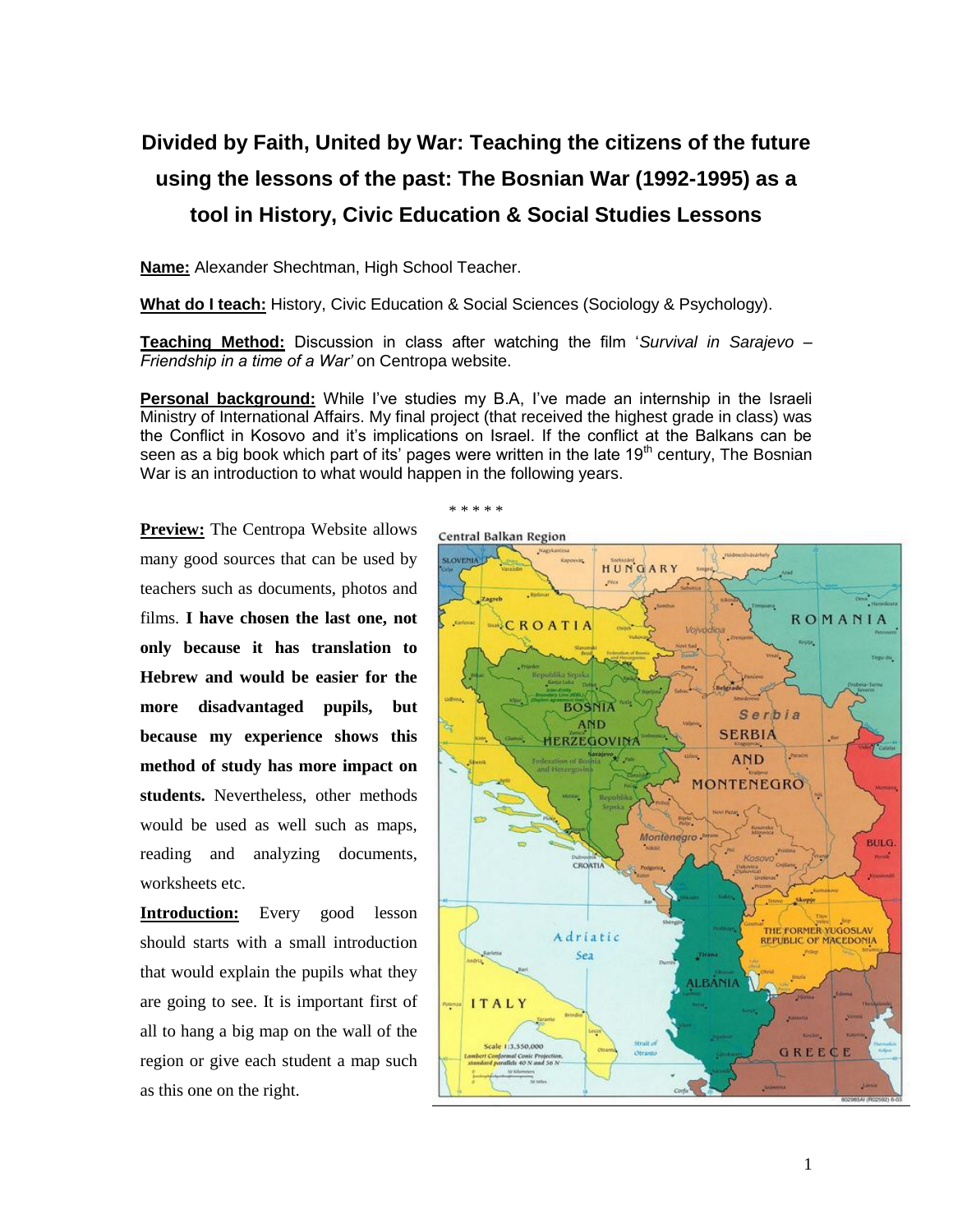## **Divided by Faith, United by War: Teaching the citizens of the future using the lessons of the past: The Bosnian War (1992-1995) as a tool in History, Civic Education & Social Studies Lessons**

**Name:** Alexander Shechtman, High School Teacher.

**What do I teach:** History, Civic Education & Social Sciences (Sociology & Psychology).

**Teaching Method:** Discussion in class after watching the film '*Survival in Sarajevo – Friendship in a time of a War'* on Centropa website.

**Personal background:** While I've studies my B.A. I've made an internship in the Israeli Ministry of International Affairs. My final project (that received the highest grade in class) was the Conflict in Kosovo and it's implications on Israel. If the conflict at the Balkans can be seen as a big book which part of its' pages were written in the late  $19<sup>th</sup>$  century, The Bosnian War is an introduction to what would happen in the following years.

\* \* \* \* \*

**Preview:** The Centropa Website allows many good sources that can be used by teachers such as documents, photos and films. **I have chosen the last one, not only because it has translation to Hebrew and would be easier for the more disadvantaged pupils, but because my experience shows this method of study has more impact on students.** Nevertheless, other methods would be used as well such as maps, reading and analyzing documents, worksheets etc.

**Introduction:** Every good lesson should starts with a small introduction that would explain the pupils what they are going to see. It is important first of all to hang a big map on the wall of the region or give each student a map such as this one on the right.

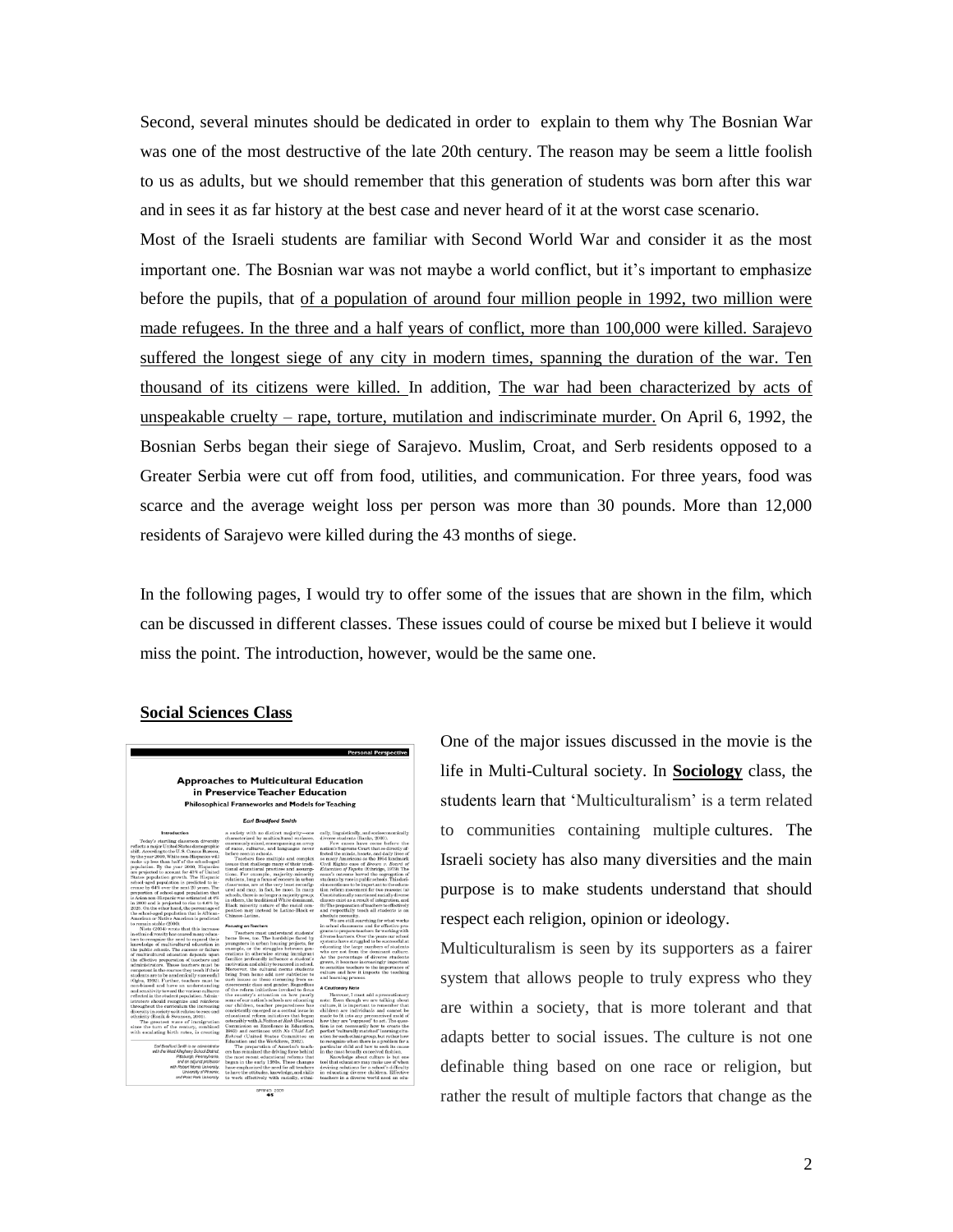Second, several minutes should be dedicated in order to explain to them why The Bosnian War was one of the most destructive of the late 20th century. The reason may be seem a little foolish to us as adults, but we should remember that this generation of students was born after this war and in sees it as far history at the best case and never heard of it at the worst case scenario.

Most of the Israeli students are familiar with Second World War and consider it as the most important one. The Bosnian war was not maybe a world conflict, but it's important to emphasize before the pupils, that of a population of around four million people in 1992, two million were made refugees. In the three and a half years of conflict, more than 100,000 were killed. Sarajevo suffered the longest siege of any city in modern times, spanning the duration of the war. Ten thousand of its citizens were killed. In addition, The war had been characterized by acts of unspeakable cruelty – rape, torture, mutilation and indiscriminate murder. On April 6, 1992, the Bosnian Serbs began their siege of Sarajevo. Muslim, Croat, and Serb residents opposed to a Greater Serbia were cut off from food, utilities, and communication. For three years, food was scarce and the average weight loss per person was more than 30 pounds. More than 12,000 residents of Sarajevo were killed during the 43 months of siege.

In the following pages, I would try to offer some of the issues that are shown in the film, which can be discussed in different classes. These issues could of course be mixed but I believe it would miss the point. The introduction, however, would be the same one.

## **Social Sciences Class**



One of the major issues discussed in the movie is the life in Multi-Cultural society. In **Sociology** class, the students learn that 'Multiculturalism' is a term related to communities containing multiple cultures. The Israeli society has also many diversities and the main purpose is to make students understand that should respect each religion, opinion or ideology.

Multiculturalism is seen by its supporters as a fairer system that allows people to truly express who they are within a society, that is more tolerant and that adapts better to social issues. The culture is not one definable thing based on one race or religion, but rather the result of multiple factors that change as the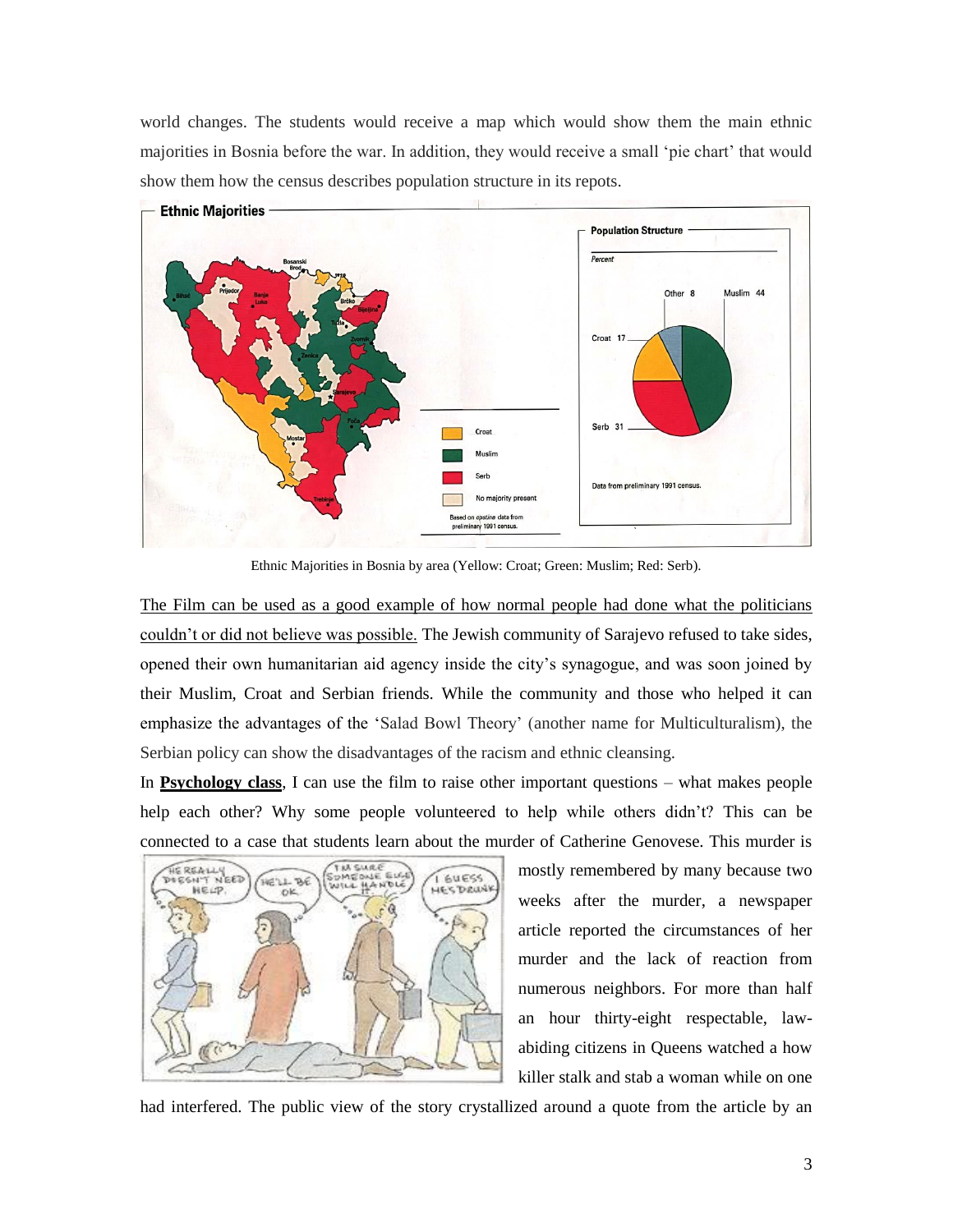world changes. The students would receive a map which would show them the main ethnic majorities in Bosnia before the war. In addition, they would receive a small "pie chart" that would show them how the census describes population structure in its repots.



Ethnic Majorities in Bosnia by area (Yellow: Croat; Green: Muslim; Red: Serb).

The Film can be used as a good example of how normal people had done what the politicians couldn"t or did not believe was possible. The Jewish community of Sarajevo refused to take sides, opened their own humanitarian aid agency inside the city"s synagogue, and was soon joined by their Muslim, Croat and Serbian friends. While the community and those who helped it can emphasize the advantages of the "Salad Bowl Theory" (another name for Multiculturalism), the Serbian policy can show the disadvantages of the racism and ethnic cleansing.

In **Psychology class**, I can use the film to raise other important questions – what makes people help each other? Why some people volunteered to help while others didn"t? This can be connected to a case that students learn about the murder of Catherine Genovese. This murder is



mostly remembered by many because two weeks after the murder, a newspaper article reported the circumstances of her murder and the lack of reaction from numerous neighbors. For more than half an hour thirty-eight respectable, lawabiding citizens in Queens watched a how killer stalk and stab a woman while on one

had interfered. The public view of the story crystallized around a quote from the article by an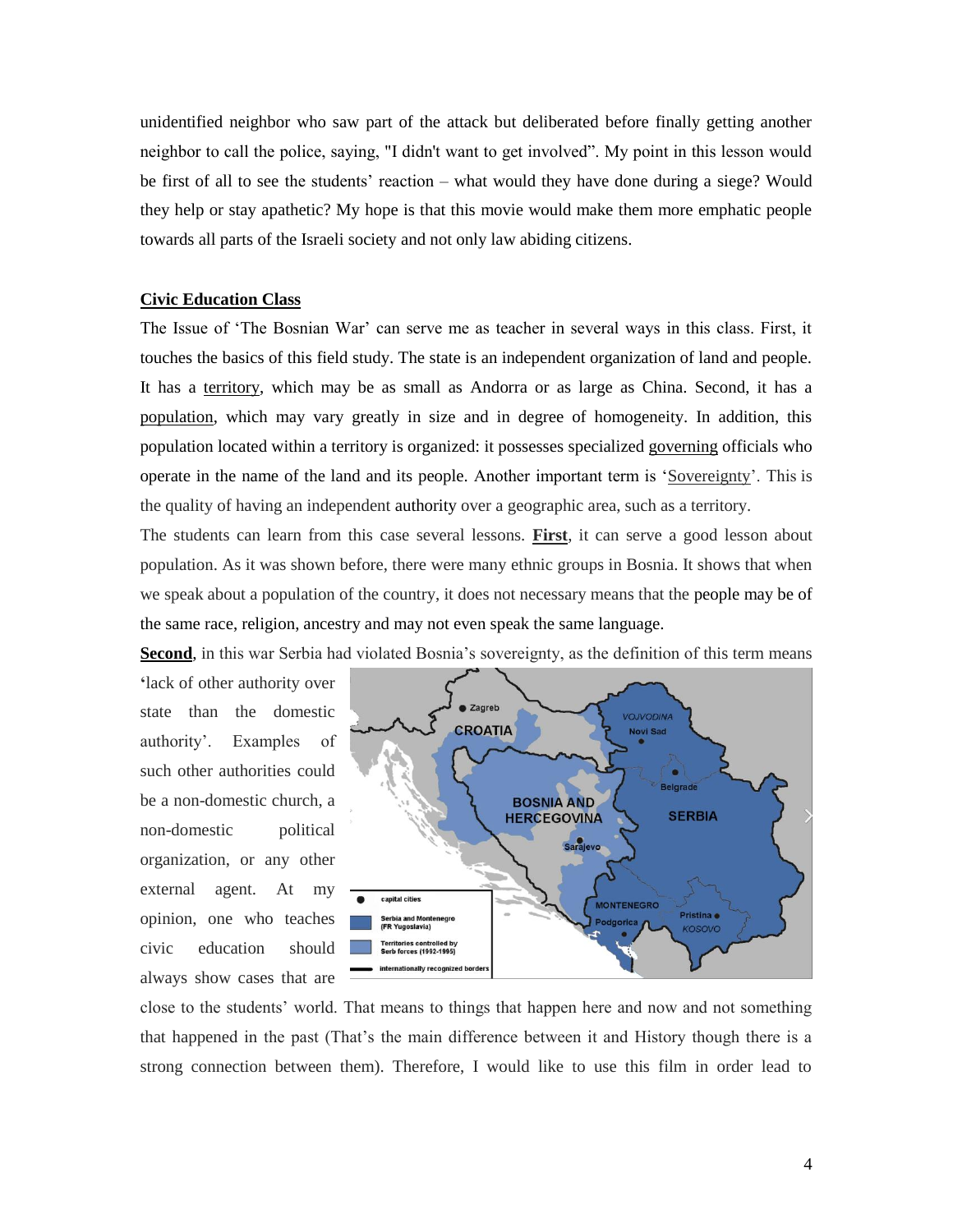unidentified neighbor who saw part of the attack but deliberated before finally getting another neighbor to call the police, saying, "I didn't want to get involved". My point in this lesson would be first of all to see the students' reaction – what would they have done during a siege? Would they help or stay apathetic? My hope is that this movie would make them more emphatic people towards all parts of the Israeli society and not only law abiding citizens.

## **Civic Education Class**

The Issue of "The Bosnian War" can serve me as teacher in several ways in this class. First, it touches the basics of this field study. The state is an independent organization of land and people. It has a territory, which may be as small as Andorra or as large as China. Second, it has a population, which may vary greatly in size and in degree of homogeneity. In addition, this population located within a territory is organized: it possesses specialized governing officials who operate in the name of the land and its people. Another important term is "Sovereignty". This is the quality of having an independent authority over a geographic area, such as a territory.

The students can learn from this case several lessons. **First**, it can serve a good lesson about population. As it was shown before, there were many ethnic groups in Bosnia. It shows that when we speak about a population of the country, it does not necessary means that the people may be of the same race, religion, ancestry and may not even speak the same language.

**Second**, in this war Serbia had violated Bosnia's sovereignty, as the definition of this term means

**"**lack of other authority over state than the domestic authority". Examples of such other authorities could be a non-domestic church, a non-domestic political organization, or any other external agent. At my opinion, one who teaches civic education should always show cases that are



close to the students" world. That means to things that happen here and now and not something that happened in the past (That"s the main difference between it and History though there is a strong connection between them). Therefore, I would like to use this film in order lead to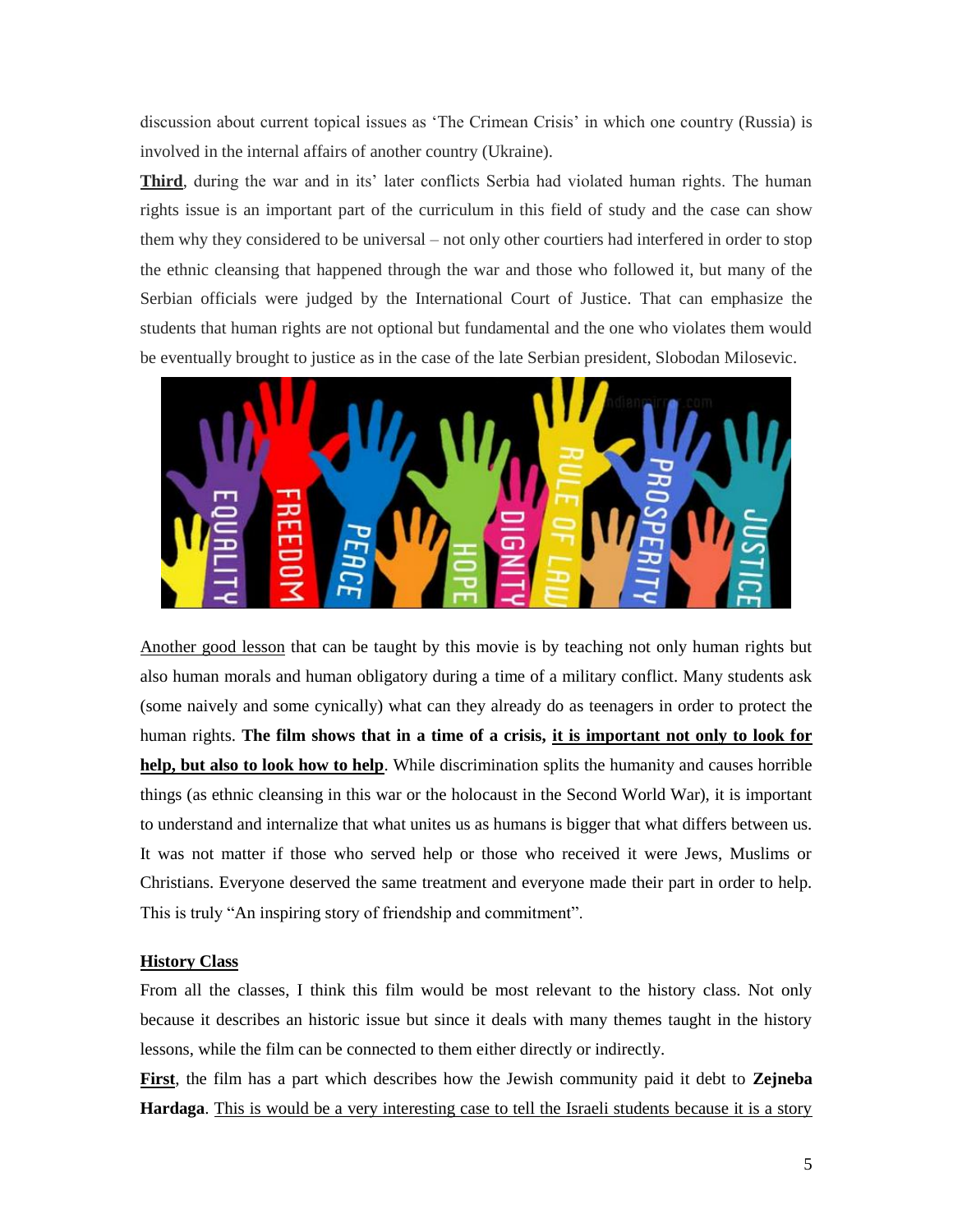discussion about current topical issues as "The Crimean Crisis" in which one country (Russia) is involved in the internal affairs of another country (Ukraine).

**Third**, during the war and in its' later conflicts Serbia had violated human rights. The human rights issue is an important part of the curriculum in this field of study and the case can show them why they considered to be universal – not only other courtiers had interfered in order to stop the ethnic cleansing that happened through the war and those who followed it, but many of the Serbian officials were judged by the International Court of Justice. That can emphasize the students that human rights are not optional but fundamental and the one who violates them would be eventually brought to justice as in the case of the late Serbian president, Slobodan Milosevic.



Another good lesson that can be taught by this movie is by teaching not only human rights but also human morals and human obligatory during a time of a military conflict. Many students ask (some naively and some cynically) what can they already do as teenagers in order to protect the human rights. **The film shows that in a time of a crisis, it is important not only to look for help, but also to look how to help**. While discrimination splits the humanity and causes horrible things (as ethnic cleansing in this war or the holocaust in the Second World War), it is important to understand and internalize that what unites us as humans is bigger that what differs between us. It was not matter if those who served help or those who received it were Jews, Muslims or Christians. Everyone deserved the same treatment and everyone made their part in order to help. This is truly "An inspiring story of friendship and commitment".

## **History Class**

From all the classes, I think this film would be most relevant to the history class. Not only because it describes an historic issue but since it deals with many themes taught in the history lessons, while the film can be connected to them either directly or indirectly.

**First**, the film has a part which describes how the Jewish community paid it debt to **Zejneba Hardaga**. This is would be a very interesting case to tell the Israeli students because it is a story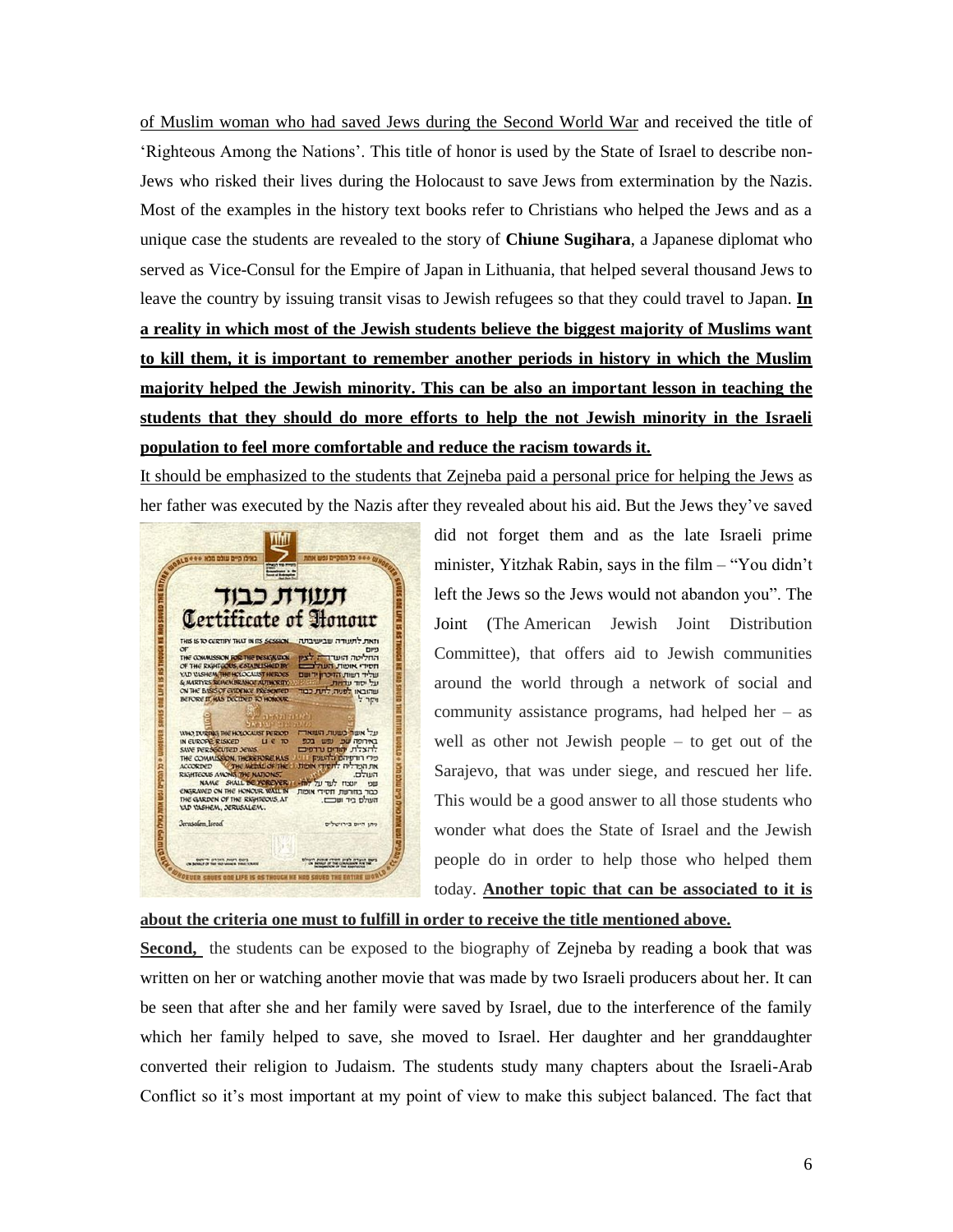of Muslim woman who had saved Jews during the Second World War and received the title of "Righteous Among the Nations". This title of honor is used by the State of Israel to describe non-Jews who risked their lives during the Holocaust to save Jews from extermination by the Nazis. Most of the examples in the history text books refer to Christians who helped the Jews and as a unique case the students are revealed to the story of **Chiune Sugihara**, a Japanese diplomat who served as Vice-Consul for the Empire of Japan in Lithuania, that helped several thousand Jews to leave the country by issuing transit visas to Jewish refugees so that they could travel to Japan. **In a reality in which most of the Jewish students believe the biggest majority of Muslims want to kill them, it is important to remember another periods in history in which the Muslim majority helped the Jewish minority. This can be also an important lesson in teaching the students that they should do more efforts to help the not Jewish minority in the Israeli population to feel more comfortable and reduce the racism towards it.** 

It should be emphasized to the students that Zejneba paid a personal price for helping the Jews as her father was executed by the Nazis after they revealed about his aid. But the Jews they"ve saved



did not forget them and as the late Israeli prime minister, Yitzhak Rabin, says in the film – "You didn"t left the Jews so the Jews would not abandon you". The Joint (The American Jewish Joint Distribution Committee), that offers aid to Jewish communities around the world through a network of social and community assistance programs, had helped her – as well as other not Jewish people – to get out of the Sarajevo, that was under siege, and rescued her life. This would be a good answer to all those students who wonder what does the State of Israel and the Jewish people do in order to help those who helped them today. **Another topic that can be associated to it is** 

**about the criteria one must to fulfill in order to receive the title mentioned above.** 

**Second,** the students can be exposed to the biography of Zejneba by reading a book that was written on her or watching another movie that was made by two Israeli producers about her. It can be seen that after she and her family were saved by Israel, due to the interference of the family which her family helped to save, she moved to Israel. Her daughter and her granddaughter converted their religion to Judaism. The students study many chapters about the Israeli-Arab Conflict so it's most important at my point of view to make this subject balanced. The fact that